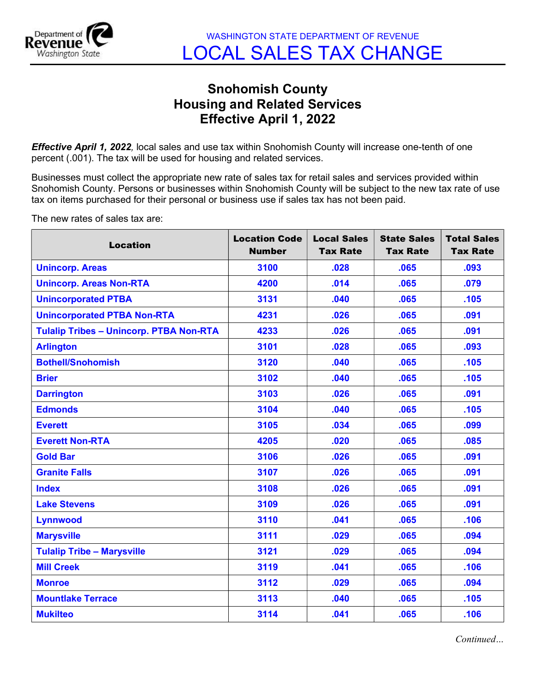

## Snohomish County Housing and Related Services Effective April 1, 2022

**Effective April 1, 2022**, local sales and use tax within Snohomish County will increase one-tenth of one percent (.001). The tax will be used for housing and related services.

Businesses must collect the appropriate new rate of sales tax for retail sales and services provided within Snohomish County. Persons or businesses within Snohomish County will be subject to the new tax rate of use tax on items purchased for their personal or business use if sales tax has not been paid.

The new rates of sales tax are:

| <b>Location</b>                                | <b>Location Code</b><br><b>Number</b> | <b>Local Sales</b><br><b>Tax Rate</b> | <b>State Sales</b><br><b>Tax Rate</b> | <b>Total Sales</b><br><b>Tax Rate</b> |
|------------------------------------------------|---------------------------------------|---------------------------------------|---------------------------------------|---------------------------------------|
| <b>Unincorp. Areas</b>                         | 3100                                  | .028                                  | .065                                  | .093                                  |
| <b>Unincorp. Areas Non-RTA</b>                 | 4200                                  | .014                                  | .065                                  | .079                                  |
| <b>Unincorporated PTBA</b>                     | 3131                                  | .040                                  | .065                                  | .105                                  |
| <b>Unincorporated PTBA Non-RTA</b>             | 4231                                  | .026                                  | .065                                  | .091                                  |
| <b>Tulalip Tribes - Unincorp. PTBA Non-RTA</b> | 4233                                  | .026                                  | .065                                  | .091                                  |
| <b>Arlington</b>                               | 3101                                  | .028                                  | .065                                  | .093                                  |
| <b>Bothell/Snohomish</b>                       | 3120                                  | .040                                  | .065                                  | .105                                  |
| <b>Brier</b>                                   | 3102                                  | .040                                  | .065                                  | .105                                  |
| <b>Darrington</b>                              | 3103                                  | .026                                  | .065                                  | .091                                  |
| <b>Edmonds</b>                                 | 3104                                  | .040                                  | .065                                  | .105                                  |
| <b>Everett</b>                                 | 3105                                  | .034                                  | .065                                  | .099                                  |
| <b>Everett Non-RTA</b>                         | 4205                                  | .020                                  | .065                                  | .085                                  |
| <b>Gold Bar</b>                                | 3106                                  | .026                                  | .065                                  | .091                                  |
| <b>Granite Falls</b>                           | 3107                                  | .026                                  | .065                                  | .091                                  |
| <b>Index</b>                                   | 3108                                  | .026                                  | .065                                  | .091                                  |
| <b>Lake Stevens</b>                            | 3109                                  | .026                                  | .065                                  | .091                                  |
| <b>Lynnwood</b>                                | 3110                                  | .041                                  | .065                                  | .106                                  |
| <b>Marysville</b>                              | 3111                                  | .029                                  | .065                                  | .094                                  |
| <b>Tulalip Tribe - Marysville</b>              | 3121                                  | .029                                  | .065                                  | .094                                  |
| <b>Mill Creek</b>                              | 3119                                  | .041                                  | .065                                  | .106                                  |
| <b>Monroe</b>                                  | 3112                                  | .029                                  | .065                                  | .094                                  |
| <b>Mountlake Terrace</b>                       | 3113                                  | .040                                  | .065                                  | .105                                  |
| <b>Mukilteo</b>                                | 3114                                  | .041                                  | .065                                  | .106                                  |